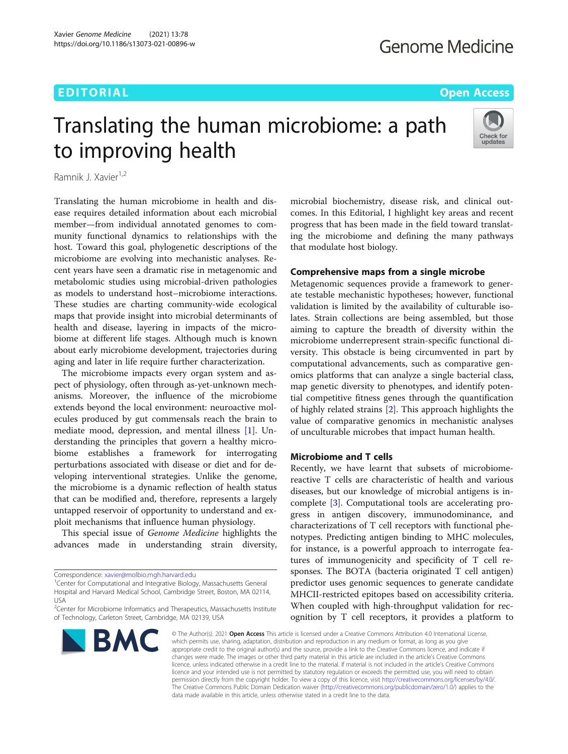## EDITORIAL AND INTERNATIONAL CONTRACT CONTRACT CONTRACT CONTRACT CONTRACT CONTRACT CONTRACT CONTRACT CONTRACT CO

# Translating the human microbiome: a path to improving health



Ramnik J. Xavier<sup>1,2</sup>

Translating the human microbiome in health and disease requires detailed information about each microbial member—from individual annotated genomes to community functional dynamics to relationships with the host. Toward this goal, phylogenetic descriptions of the microbiome are evolving into mechanistic analyses. Recent years have seen a dramatic rise in metagenomic and metabolomic studies using microbial-driven pathologies as models to understand host–microbiome interactions. These studies are charting community-wide ecological maps that provide insight into microbial determinants of health and disease, layering in impacts of the microbiome at different life stages. Although much is known about early microbiome development, trajectories during aging and later in life require further characterization.

The microbiome impacts every organ system and aspect of physiology, often through as-yet-unknown mechanisms. Moreover, the influence of the microbiome extends beyond the local environment: neuroactive molecules produced by gut commensals reach the brain to mediate mood, depression, and mental illness [[1](#page-3-0)]. Understanding the principles that govern a healthy microbiome establishes a framework for interrogating perturbations associated with disease or diet and for developing interventional strategies. Unlike the genome, the microbiome is a dynamic reflection of health status that can be modified and, therefore, represents a largely untapped reservoir of opportunity to understand and exploit mechanisms that influence human physiology.

This special issue of Genome Medicine highlights the advances made in understanding strain diversity,

Correspondence: [xavier@molbio.mgh.harvard.edu](mailto:xavier@molbio.mgh.harvard.edu) <sup>1</sup>

<sup>1</sup>Center for Computational and Integrative Biology, Massachusetts General Hospital and Harvard Medical School, Cambridge Street, Boston, MA 02114, USA

<sup>&</sup>lt;sup>2</sup> Center for Microbiome Informatics and Therapeutics, Massachusetts Institute of Technology, Carleton Street, Cambridge, MA 02139, USA



microbial biochemistry, disease risk, and clinical outcomes. In this Editorial, I highlight key areas and recent progress that has been made in the field toward translating the microbiome and defining the many pathways that modulate host biology.

#### Comprehensive maps from a single microbe

Metagenomic sequences provide a framework to generate testable mechanistic hypotheses; however, functional validation is limited by the availability of culturable isolates. Strain collections are being assembled, but those aiming to capture the breadth of diversity within the microbiome underrepresent strain-specific functional diversity. This obstacle is being circumvented in part by computational advancements, such as comparative genomics platforms that can analyze a single bacterial class, map genetic diversity to phenotypes, and identify potential competitive fitness genes through the quantification of highly related strains [\[2](#page-3-0)]. This approach highlights the value of comparative genomics in mechanistic analyses of unculturable microbes that impact human health.

#### Microbiome and T cells

Recently, we have learnt that subsets of microbiomereactive T cells are characteristic of health and various diseases, but our knowledge of microbial antigens is incomplete [\[3](#page-3-0)]. Computational tools are accelerating progress in antigen discovery, immunodominance, and characterizations of T cell receptors with functional phenotypes. Predicting antigen binding to MHC molecules, for instance, is a powerful approach to interrogate features of immunogenicity and specificity of T cell responses. The BOTA (bacteria originated T cell antigen) predictor uses genomic sequences to generate candidate MHCII-restricted epitopes based on accessibility criteria. When coupled with high-throughput validation for recognition by T cell receptors, it provides a platform to

© The Author(s), 2021 **Open Access** This article is licensed under a Creative Commons Attribution 4.0 International License, which permits use, sharing, adaptation, distribution and reproduction in any medium or format, as long as you give appropriate credit to the original author(s) and the source, provide a link to the Creative Commons licence, and indicate if changes were made. The images or other third party material in this article are included in the article's Creative Commons licence, unless indicated otherwise in a credit line to the material. If material is not included in the article's Creative Commons licence and your intended use is not permitted by statutory regulation or exceeds the permitted use, you will need to obtain permission directly from the copyright holder. To view a copy of this licence, visit [http://creativecommons.org/licenses/by/4.0/.](http://creativecommons.org/licenses/by/4.0/) The Creative Commons Public Domain Dedication waiver [\(http://creativecommons.org/publicdomain/zero/1.0/](http://creativecommons.org/publicdomain/zero/1.0/)) applies to the data made available in this article, unless otherwise stated in a credit line to the data.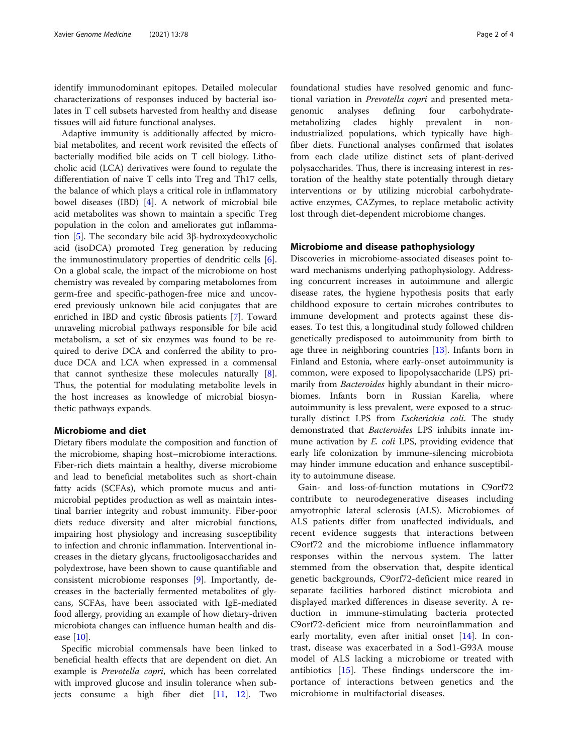identify immunodominant epitopes. Detailed molecular characterizations of responses induced by bacterial isolates in T cell subsets harvested from healthy and disease tissues will aid future functional analyses.

Adaptive immunity is additionally affected by microbial metabolites, and recent work revisited the effects of bacterially modified bile acids on T cell biology. Lithocholic acid (LCA) derivatives were found to regulate the differentiation of naive T cells into Treg and Th17 cells, the balance of which plays a critical role in inflammatory bowel diseases (IBD) [[4\]](#page-3-0). A network of microbial bile acid metabolites was shown to maintain a specific Treg population in the colon and ameliorates gut inflammation [[5\]](#page-3-0). The secondary bile acid 3β-hydroxydeoxycholic acid (isoDCA) promoted Treg generation by reducing the immunostimulatory properties of dendritic cells [\[6](#page-3-0)]. On a global scale, the impact of the microbiome on host chemistry was revealed by comparing metabolomes from germ-free and specific-pathogen-free mice and uncovered previously unknown bile acid conjugates that are enriched in IBD and cystic fibrosis patients [[7\]](#page-3-0). Toward unraveling microbial pathways responsible for bile acid metabolism, a set of six enzymes was found to be required to derive DCA and conferred the ability to produce DCA and LCA when expressed in a commensal that cannot synthesize these molecules naturally [\[8](#page-3-0)]. Thus, the potential for modulating metabolite levels in the host increases as knowledge of microbial biosynthetic pathways expands.

### Microbiome and diet

Dietary fibers modulate the composition and function of the microbiome, shaping host–microbiome interactions. Fiber-rich diets maintain a healthy, diverse microbiome and lead to beneficial metabolites such as short-chain fatty acids (SCFAs), which promote mucus and antimicrobial peptides production as well as maintain intestinal barrier integrity and robust immunity. Fiber-poor diets reduce diversity and alter microbial functions, impairing host physiology and increasing susceptibility to infection and chronic inflammation. Interventional increases in the dietary glycans, fructooligosaccharides and polydextrose, have been shown to cause quantifiable and consistent microbiome responses [[9\]](#page-3-0). Importantly, decreases in the bacterially fermented metabolites of glycans, SCFAs, have been associated with IgE-mediated food allergy, providing an example of how dietary-driven microbiota changes can influence human health and disease  $[10]$  $[10]$ .

Specific microbial commensals have been linked to beneficial health effects that are dependent on diet. An example is *Prevotella copri*, which has been correlated with improved glucose and insulin tolerance when subjects consume a high fiber diet [\[11](#page-3-0), [12](#page-3-0)]. Two foundational studies have resolved genomic and functional variation in Prevotella copri and presented metagenomic analyses defining four carbohydratemetabolizing clades highly prevalent in nonindustrialized populations, which typically have highfiber diets. Functional analyses confirmed that isolates from each clade utilize distinct sets of plant-derived polysaccharides. Thus, there is increasing interest in restoration of the healthy state potentially through dietary interventions or by utilizing microbial carbohydrateactive enzymes, CAZymes, to replace metabolic activity lost through diet-dependent microbiome changes.

#### Microbiome and disease pathophysiology

Discoveries in microbiome-associated diseases point toward mechanisms underlying pathophysiology. Addressing concurrent increases in autoimmune and allergic disease rates, the hygiene hypothesis posits that early childhood exposure to certain microbes contributes to immune development and protects against these diseases. To test this, a longitudinal study followed children genetically predisposed to autoimmunity from birth to age three in neighboring countries [\[13](#page-3-0)]. Infants born in Finland and Estonia, where early-onset autoimmunity is common, were exposed to lipopolysaccharide (LPS) primarily from Bacteroides highly abundant in their microbiomes. Infants born in Russian Karelia, where autoimmunity is less prevalent, were exposed to a structurally distinct LPS from Escherichia coli. The study demonstrated that Bacteroides LPS inhibits innate immune activation by E. coli LPS, providing evidence that early life colonization by immune-silencing microbiota may hinder immune education and enhance susceptibility to autoimmune disease.

Gain- and loss-of-function mutations in C9orf72 contribute to neurodegenerative diseases including amyotrophic lateral sclerosis (ALS). Microbiomes of ALS patients differ from unaffected individuals, and recent evidence suggests that interactions between C9orf72 and the microbiome influence inflammatory responses within the nervous system. The latter stemmed from the observation that, despite identical genetic backgrounds, C9orf72-deficient mice reared in separate facilities harbored distinct microbiota and displayed marked differences in disease severity. A reduction in immune-stimulating bacteria protected C9orf72-deficient mice from neuroinflammation and early mortality, even after initial onset [[14\]](#page-3-0). In contrast, disease was exacerbated in a Sod1-G93A mouse model of ALS lacking a microbiome or treated with antibiotics [[15\]](#page-3-0). These findings underscore the importance of interactions between genetics and the microbiome in multifactorial diseases.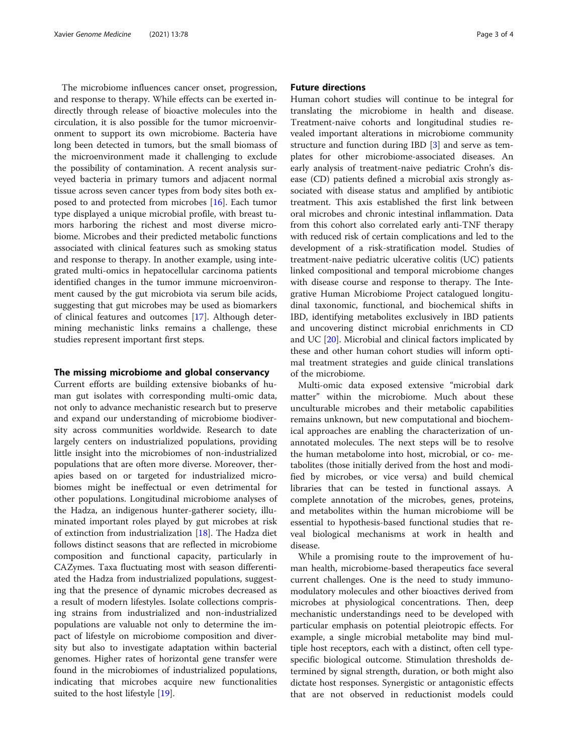The microbiome influences cancer onset, progression, and response to therapy. While effects can be exerted indirectly through release of bioactive molecules into the circulation, it is also possible for the tumor microenvironment to support its own microbiome. Bacteria have long been detected in tumors, but the small biomass of the microenvironment made it challenging to exclude the possibility of contamination. A recent analysis surveyed bacteria in primary tumors and adjacent normal tissue across seven cancer types from body sites both exposed to and protected from microbes [\[16](#page-3-0)]. Each tumor type displayed a unique microbial profile, with breast tumors harboring the richest and most diverse microbiome. Microbes and their predicted metabolic functions associated with clinical features such as smoking status and response to therapy. In another example, using integrated multi-omics in hepatocellular carcinoma patients identified changes in the tumor immune microenvironment caused by the gut microbiota via serum bile acids, suggesting that gut microbes may be used as biomarkers of clinical features and outcomes [\[17\]](#page-3-0). Although determining mechanistic links remains a challenge, these studies represent important first steps.

#### The missing microbiome and global conservancy

Current efforts are building extensive biobanks of human gut isolates with corresponding multi-omic data, not only to advance mechanistic research but to preserve and expand our understanding of microbiome biodiversity across communities worldwide. Research to date largely centers on industrialized populations, providing little insight into the microbiomes of non-industrialized populations that are often more diverse. Moreover, therapies based on or targeted for industrialized microbiomes might be ineffectual or even detrimental for other populations. Longitudinal microbiome analyses of the Hadza, an indigenous hunter-gatherer society, illuminated important roles played by gut microbes at risk of extinction from industrialization [\[18\]](#page-3-0). The Hadza diet follows distinct seasons that are reflected in microbiome composition and functional capacity, particularly in CAZymes. Taxa fluctuating most with season differentiated the Hadza from industrialized populations, suggesting that the presence of dynamic microbes decreased as a result of modern lifestyles. Isolate collections comprising strains from industrialized and non-industrialized populations are valuable not only to determine the impact of lifestyle on microbiome composition and diversity but also to investigate adaptation within bacterial genomes. Higher rates of horizontal gene transfer were found in the microbiomes of industrialized populations, indicating that microbes acquire new functionalities suited to the host lifestyle [\[19](#page-3-0)].

#### Future directions

Human cohort studies will continue to be integral for translating the microbiome in health and disease. Treatment-naive cohorts and longitudinal studies revealed important alterations in microbiome community structure and function during IBD [[3\]](#page-3-0) and serve as templates for other microbiome-associated diseases. An early analysis of treatment-naive pediatric Crohn's disease (CD) patients defined a microbial axis strongly associated with disease status and amplified by antibiotic treatment. This axis established the first link between oral microbes and chronic intestinal inflammation. Data from this cohort also correlated early anti-TNF therapy with reduced risk of certain complications and led to the development of a risk-stratification model. Studies of treatment-naive pediatric ulcerative colitis (UC) patients linked compositional and temporal microbiome changes with disease course and response to therapy. The Integrative Human Microbiome Project catalogued longitudinal taxonomic, functional, and biochemical shifts in IBD, identifying metabolites exclusively in IBD patients and uncovering distinct microbial enrichments in CD and UC [[20\]](#page-3-0). Microbial and clinical factors implicated by these and other human cohort studies will inform optimal treatment strategies and guide clinical translations of the microbiome.

Multi-omic data exposed extensive "microbial dark matter" within the microbiome. Much about these unculturable microbes and their metabolic capabilities remains unknown, but new computational and biochemical approaches are enabling the characterization of unannotated molecules. The next steps will be to resolve the human metabolome into host, microbial, or co- metabolites (those initially derived from the host and modified by microbes, or vice versa) and build chemical libraries that can be tested in functional assays. A complete annotation of the microbes, genes, proteins, and metabolites within the human microbiome will be essential to hypothesis-based functional studies that reveal biological mechanisms at work in health and disease.

While a promising route to the improvement of human health, microbiome-based therapeutics face several current challenges. One is the need to study immunomodulatory molecules and other bioactives derived from microbes at physiological concentrations. Then, deep mechanistic understandings need to be developed with particular emphasis on potential pleiotropic effects. For example, a single microbial metabolite may bind multiple host receptors, each with a distinct, often cell typespecific biological outcome. Stimulation thresholds determined by signal strength, duration, or both might also dictate host responses. Synergistic or antagonistic effects that are not observed in reductionist models could